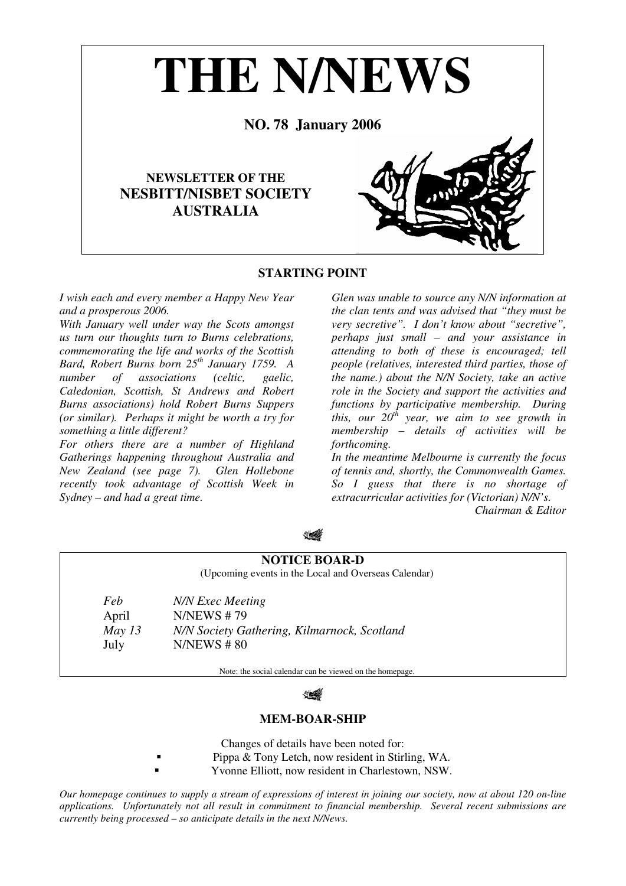

# **STARTING POINT**

*I wish each and every member a Happy New Year and a prosperous 2006.* 

*With January well under way the Scots amongst us turn our thoughts turn to Burns celebrations, commemorating the life and works of the Scottish Bard, Robert Burns born 25th January 1759. A number of associations (celtic, gaelic, Caledonian, Scottish, St Andrews and Robert Burns associations) hold Robert Burns Suppers (or similar). Perhaps it might be worth a try for something a little different?* 

*For others there are a number of Highland Gatherings happening throughout Australia and New Zealand (see page 7). Glen Hollebone recently took advantage of Scottish Week in Sydney – and had a great time.* 

*Glen was unable to source any N/N information at the clan tents and was advised that "they must be very secretive". I don't know about "secretive", perhaps just small – and your assistance in attending to both of these is encouraged; tell people (relatives, interested third parties, those of the name.) about the N/N Society, take an active role in the Society and support the activities and functions by participative membership. During this, our 20th year, we aim to see growth in membership – details of activities will be forthcoming.* 

*In the meantime Melbourne is currently the focus of tennis and, shortly, the Commonwealth Games. So I guess that there is no shortage of extracurricular activities for (Victorian) N/N's.* 

*Chairman & Editor* 

**NOTICE BOAR-D**  (Upcoming events in the Local and Overseas Calendar) *Feb N/N Exec Meeting*  April N/NEWS # 79 *May 13 N/N Society Gathering, Kilmarnock, Scotland*  July N/NEWS # 80

Note: the social calendar can be viewed on the homepage.

# **MEM-BOAR-SHIP**

Changes of details have been noted for:

- Pippa & Tony Letch, now resident in Stirling, WA.
- Yvonne Elliott, now resident in Charlestown, NSW.

*Our homepage continues to supply a stream of expressions of interest in joining our society, now at about 120 on-line applications. Unfortunately not all result in commitment to financial membership. Several recent submissions are currently being processed – so anticipate details in the next N/News.*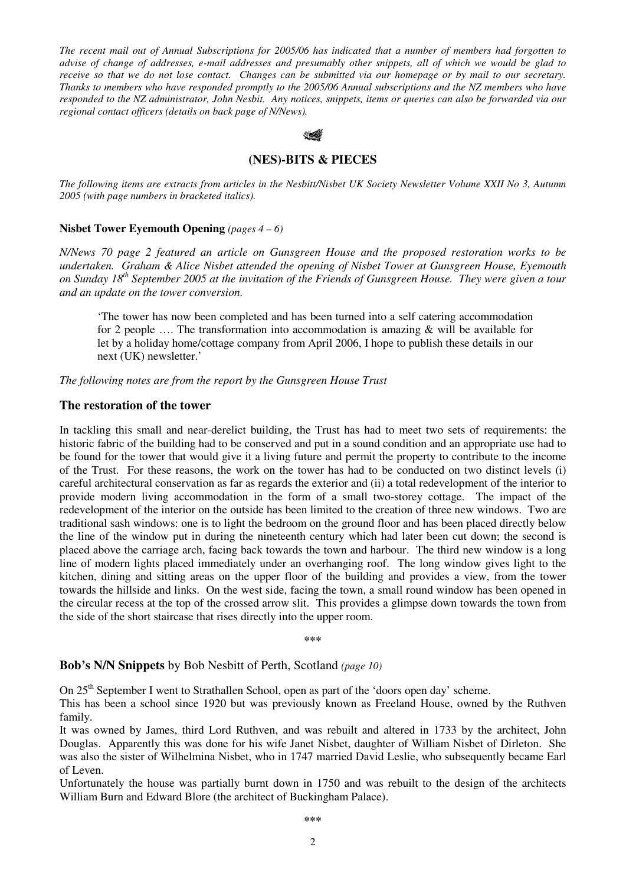*The recent mail out of Annual Subscriptions for 2005/06 has indicated that a number of members had forgotten to advise of change of addresses, e-mail addresses and presumably other snippets, all of which we would be glad to receive so that we do not lose contact. Changes can be submitted via our homepage or by mail to our secretary. Thanks to members who have responded promptly to the 2005/06 Annual subscriptions and the NZ members who have responded to the NZ administrator, John Nesbit. Any notices, snippets, items or queries can also be forwarded via our regional contact officers (details on back page of N/News).* 



## **(NES)-BITS & PIECES**

*The following items are extracts from articles in the Nesbitt/Nisbet UK Society Newsletter Volume XXII No 3, Autumn 2005 (with page numbers in bracketed italics).* 

## **Nisbet Tower Eyemouth Opening** *(pages 4 – 6)*

*N/News 70 page 2 featured an article on Gunsgreen House and the proposed restoration works to be undertaken. Graham & Alice Nisbet attended the opening of Nisbet Tower at Gunsgreen House, Eyemouth on Sunday 18th September 2005 at the invitation of the Friends of Gunsgreen House. They were given a tour and an update on the tower conversion.* 

'The tower has now been completed and has been turned into a self catering accommodation for 2 people …. The transformation into accommodation is amazing & will be available for let by a holiday home/cottage company from April 2006, I hope to publish these details in our next (UK) newsletter.'

*The following notes are from the report by the Gunsgreen House Trust* 

## **The restoration of the tower**

In tackling this small and near-derelict building, the Trust has had to meet two sets of requirements: the historic fabric of the building had to be conserved and put in a sound condition and an appropriate use had to be found for the tower that would give it a living future and permit the property to contribute to the income of the Trust. For these reasons, the work on the tower has had to be conducted on two distinct levels (i) careful architectural conservation as far as regards the exterior and (ii) a total redevelopment of the interior to provide modern living accommodation in the form of a small two-storey cottage. The impact of the redevelopment of the interior on the outside has been limited to the creation of three new windows. Two are traditional sash windows: one is to light the bedroom on the ground floor and has been placed directly below the line of the window put in during the nineteenth century which had later been cut down; the second is placed above the carriage arch, facing back towards the town and harbour. The third new window is a long line of modern lights placed immediately under an overhanging roof. The long window gives light to the kitchen, dining and sitting areas on the upper floor of the building and provides a view, from the tower towards the hillside and links. On the west side, facing the town, a small round window has been opened in the circular recess at the top of the crossed arrow slit. This provides a glimpse down towards the town from the side of the short staircase that rises directly into the upper room.

**\*\*\***

## **Bob's N/N Snippets** by Bob Nesbitt of Perth, Scotland *(page 10)*

On 25<sup>th</sup> September I went to Strathallen School, open as part of the 'doors open day' scheme.

This has been a school since 1920 but was previously known as Freeland House, owned by the Ruthven family.

It was owned by James, third Lord Ruthven, and was rebuilt and altered in 1733 by the architect, John Douglas. Apparently this was done for his wife Janet Nisbet, daughter of William Nisbet of Dirleton. She was also the sister of Wilhelmina Nisbet, who in 1747 married David Leslie, who subsequently became Earl of Leven.

Unfortunately the house was partially burnt down in 1750 and was rebuilt to the design of the architects William Burn and Edward Blore (the architect of Buckingham Palace).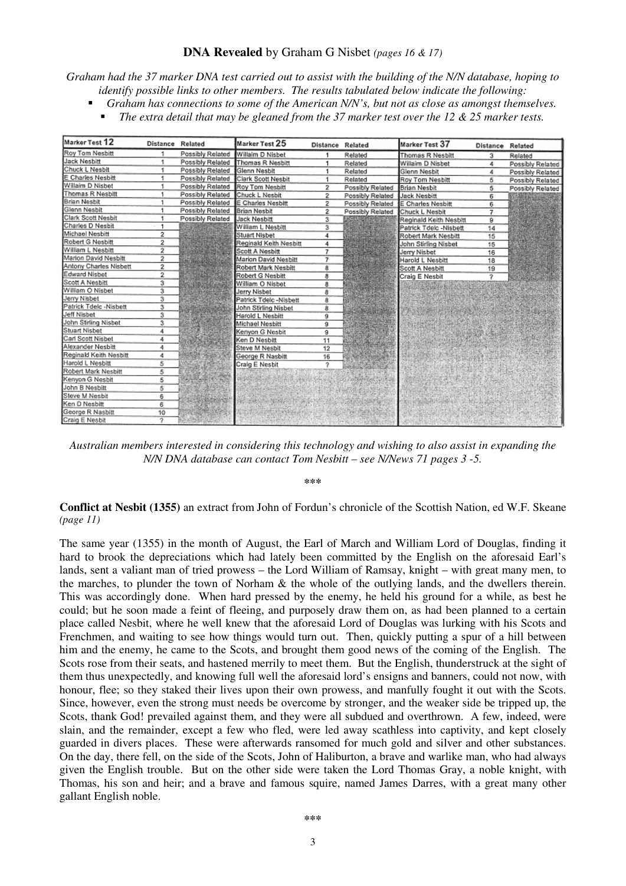## **DNA Revealed** by Graham G Nisbet *(pages 16 & 17)*

*Graham had the 37 marker DNA test carried out to assist with the building of the N/N database, hoping to identify possible links to other members. The results tabulated below indicate the following:* 

- *Graham has connections to some of the American N/N's, but not as close as amongst themselves.* 
	- *The extra detail that may be gleaned from the 37 marker test over the 12 & 25 marker tests.*

| Marker Test 12         | Distance Related |                  | Marker Test 25         | Distance Related |                    | Marker Test 37         | Distance Related |                  |
|------------------------|------------------|------------------|------------------------|------------------|--------------------|------------------------|------------------|------------------|
| Roy Tom Nesbitt        |                  | Possibly Related | Willaim D Nisbet       |                  | Related            | Thomas R Nesbitt       | з                | Related          |
| Jack Nesbitt           |                  | Possibly Related | Thomas R Nesbitt       |                  | Related            | Willaim D Nisbet       | 4                | Possibly Related |
| Chuck L Nesbit         |                  | Possibly Related | Glenn Nesbit           |                  | Related            | Glenn Nesbit           | 4                | Possibly Related |
| E Charles Nesbitt      |                  | Possibly Related | Clark Scott Nesbit     |                  | Related            | Roy Tom Nesbitt        | 5                | Possibly Related |
| Willaim D Nisbet       |                  | Possibly Related | Rov Tom Nesbitt        | 2                | Possibly Related   | Brian Nesbit           | 5                | Possibly Related |
| Thomas R Nesbitt       |                  | Possibly Related | Chuck L Neshit         | 2                | Possibly Related   | Jack Nesbitt           | 6                |                  |
| Brian Nesbit           |                  | Possibly Related | E Charles Nesbitt      | 2                | Possibly Related   | E Charles Nesbitt      | 6                |                  |
| Glenn Nesbit           |                  | Possibly Related | Brian Nesbit           | 2                | Possibly Related   | Chuck L Nesbit         | 7                |                  |
| Clark Scott Nesbit     |                  | Possibly Related | <b>Jack Nesbitt</b>    | 3                |                    | Reginald Keith Nesbitt | 9                |                  |
| Charles D Nesbit       |                  |                  | William L Nesbitt      | 3                |                    | Patrick Tdelc -Nisbett | 14               |                  |
| Michael Nesbitt        | 2                |                  | Stuart Nisbet          | 4                |                    | Robert Mark Nesbitt    | 15               |                  |
| Robert G Nesbitt       | $\overline{2}$   |                  | Reginald Keith Nesbitt | 4                |                    | John Stirling Nisbet   | 15               |                  |
| William L Nesbitt      | 2                |                  | Scott A Nesbitt        | 7                |                    | Jerry Nisbet           | 16               |                  |
| Marion David Nesbitt   | 2                |                  | Marion David Nesbitt   | 7                |                    | Harold L Nesbitt       | 18               |                  |
| Antony Charles Nisbett | 2                |                  | Robert Mark Nesbitt    | 8                |                    | Scott A Nesbitt        | 19               |                  |
| <b>Edward Nisbet</b>   | $\overline{2}$   |                  | Robert G Nesbitt       | 8                |                    | Craig E Nesbit         | ÷                |                  |
| Scott A Nesbitt        | 3                |                  | William O Nisbet       | 8                |                    |                        |                  |                  |
| William O Nisbet       | з                |                  | Jerry Nisbet           | 8                |                    |                        |                  |                  |
| Jerry Nisbet           | 3                |                  | Patrick Tdelc -Nisbett | 8                |                    |                        |                  |                  |
| Patrick Tdelc -Nisbett | 3                |                  | John Stirling Nisbet   | 8                |                    |                        |                  |                  |
| Jeff Nisbet            | 3                |                  | Harold L Nesbitt       | ğ                |                    |                        |                  |                  |
| John Stirling Nisbet   | 3                |                  | Michael Nesbitt        | ğ                |                    |                        |                  |                  |
| Stuart Nisbet          | 4                |                  | Kenvon G Nesbit        | 9                |                    |                        |                  |                  |
| Carl Scott Nisbet      | 4                |                  | Ken D Nesbitt          | 11               |                    |                        |                  |                  |
| Alexander Nesbitt      | 4                |                  | Steve M Nesbit         | 12               |                    |                        |                  |                  |
| Reginald Keith Nesbitt | 4                |                  | George R Nasbitt       | 16               | <b>SERVICES</b>    |                        |                  |                  |
| Harold L Nesbitt       | 8                |                  | Craig E Nesbit         | 2                |                    |                        |                  |                  |
| Robert Mark Nesbitt    | 5                |                  |                        |                  |                    |                        |                  |                  |
| Kenyon G Nesbit        | 5                |                  |                        |                  | <b>EDIGERATIVE</b> |                        |                  |                  |
| John B Nesbitt         | 5                |                  |                        |                  |                    |                        |                  |                  |
| Steve M Nesbit         | 6                |                  |                        |                  |                    |                        |                  |                  |
| Ken D Nesbitt          | 6                |                  |                        |                  |                    |                        |                  |                  |
| George R Nasbitt       | 10               |                  |                        |                  |                    |                        |                  |                  |
| Craig E Nesbit         | っ                |                  |                        |                  |                    |                        |                  |                  |

*Australian members interested in considering this technology and wishing to also assist in expanding the N/N DNA database can contact Tom Nesbitt – see N/News 71 pages 3 -5.* 

**\*\*\*** 

**Conflict at Nesbit (1355)** an extract from John of Fordun's chronicle of the Scottish Nation, ed W.F. Skeane *(page 11)*

The same year (1355) in the month of August, the Earl of March and William Lord of Douglas, finding it hard to brook the depreciations which had lately been committed by the English on the aforesaid Earl's lands, sent a valiant man of tried prowess – the Lord William of Ramsay, knight – with great many men, to the marches, to plunder the town of Norham & the whole of the outlying lands, and the dwellers therein. This was accordingly done. When hard pressed by the enemy, he held his ground for a while, as best he could; but he soon made a feint of fleeing, and purposely draw them on, as had been planned to a certain place called Nesbit, where he well knew that the aforesaid Lord of Douglas was lurking with his Scots and Frenchmen, and waiting to see how things would turn out. Then, quickly putting a spur of a hill between him and the enemy, he came to the Scots, and brought them good news of the coming of the English. The Scots rose from their seats, and hastened merrily to meet them. But the English, thunderstruck at the sight of them thus unexpectedly, and knowing full well the aforesaid lord's ensigns and banners, could not now, with honour, flee; so they staked their lives upon their own prowess, and manfully fought it out with the Scots. Since, however, even the strong must needs be overcome by stronger, and the weaker side be tripped up, the Scots, thank God! prevailed against them, and they were all subdued and overthrown. A few, indeed, were slain, and the remainder, except a few who fled, were led away scathless into captivity, and kept closely guarded in divers places. These were afterwards ransomed for much gold and silver and other substances. On the day, there fell, on the side of the Scots, John of Haliburton, a brave and warlike man, who had always given the English trouble. But on the other side were taken the Lord Thomas Gray, a noble knight, with Thomas, his son and heir; and a brave and famous squire, named James Darres, with a great many other gallant English noble.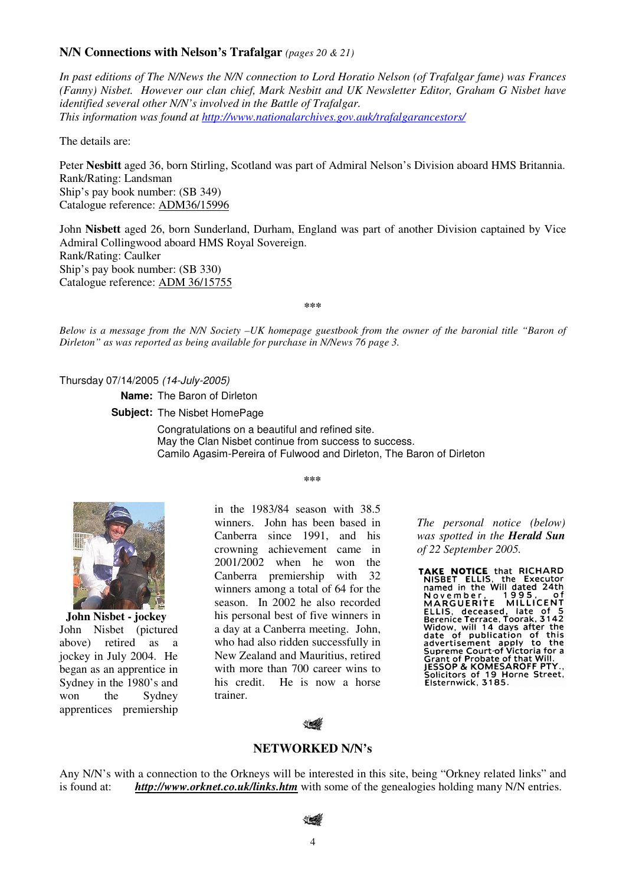## **N/N Connections with Nelson's Trafalgar** *(pages 20 & 21)*

*In past editions of The N/News the N/N connection to Lord Horatio Nelson (of Trafalgar fame) was Frances (Fanny) Nisbet. However our clan chief, Mark Nesbitt and UK Newsletter Editor, Graham G Nisbet have identified several other N/N's involved in the Battle of Trafalgar. This information was found at http://www.nationalarchives.gov.auk/trafalgarancestors/*

The details are:

Peter **Nesbitt** aged 36, born Stirling, Scotland was part of Admiral Nelson's Division aboard HMS Britannia. Rank/Rating: Landsman Ship's pay book number: (SB 349) Catalogue reference: ADM36/15996

John **Nisbett** aged 26, born Sunderland, Durham, England was part of another Division captained by Vice Admiral Collingwood aboard HMS Royal Sovereign. Rank/Rating: Caulker Ship's pay book number: (SB 330) Catalogue reference: ADM 36/15755

**\*\*\***

*Below is a message from the N/N Society –UK homepage guestbook from the owner of the baronial title "Baron of Dirleton" as was reported as being available for purchase in N/News 76 page 3.* 

Thursday 07/14/2005 (14-July-2005)

**Name:** The Baron of Dirleton

**Subject:** The Nisbet HomePage

Congratulations on a beautiful and refined site. May the Clan Nisbet continue from success to success. Camilo Agasim-Pereira of Fulwood and Dirleton, The Baron of Dirleton

**\*\*\*** 

**John Nisbet - jockey**  John Nisbet (pictured above) retired as a jockey in July 2004. He began as an apprentice in Sydney in the 1980's and won the Sydney apprentices premiership in the 1983/84 season with 38.5 winners. John has been based in Canberra since 1991, and his crowning achievement came in 2001/2002 when he won the Canberra premiership with 32 winners among a total of 64 for the season. In 2002 he also recorded his personal best of five winners in a day at a Canberra meeting. John, who had also ridden successfully in New Zealand and Mauritius, retired with more than 700 career wins to his credit. He is now a horse trainer.

*The personal notice (below) was spotted in the Herald Sun of 22 September 2005.* 

TAKE NOTICE that RICHARD<br>NISBET ELLIS, the Executor<br>named in the Will dated 24th<br>November, 1995, of<br>MARGUERITE MILLICENT MARGUERITE MILLICENT<br>ELLIS, deceased, late of 5<br>Berenice Terrace, Toorak, 3142<br>Widow, will 14 days after the<br>date of publication of this<br>advertisement apply to the advertisement apply to the<br>Supreme Court-of Victoria for a<br>Grant of Probate of that Will.<br>JESSOP & KOMESAROFF PTY... Solicitors of 19 Horne Street,<br>Elsternwick, 3185.



## **NETWORKED N/N's**

Any N/N's with a connection to the Orkneys will be interested in this site, being "Orkney related links" and is found at: *http://www.orknet.co.uk/links.htm* with some of the genealogies holding many N/N entries.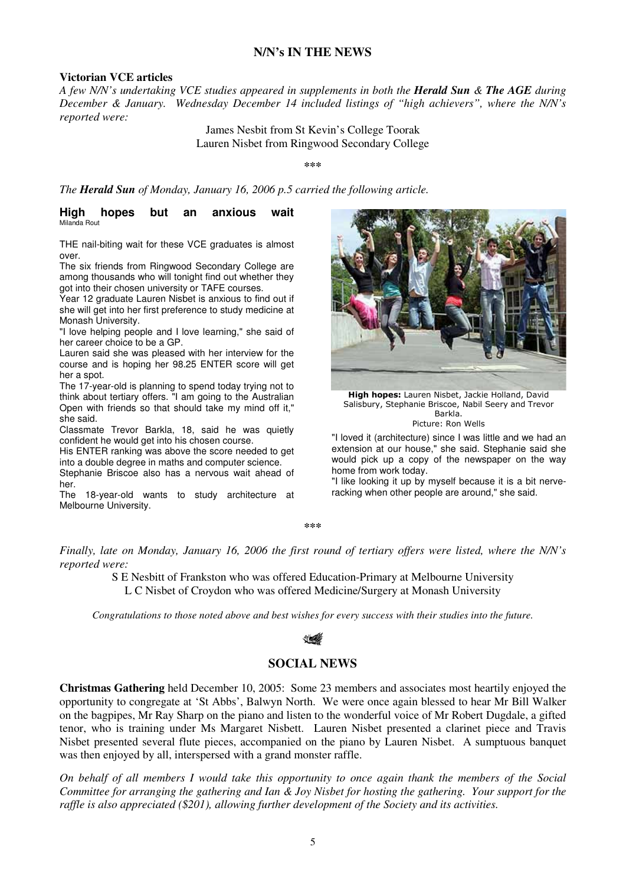## **N/N's IN THE NEWS**

### **Victorian VCE articles**

*A few N/N's undertaking VCE studies appeared in supplements in both the Herald Sun & The AGE during December & January. Wednesday December 14 included listings of "high achievers", where the N/N's reported were:* 

> James Nesbit from St Kevin's College Toorak Lauren Nisbet from Ringwood Secondary College

> > **\*\*\***

*The Herald Sun of Monday, January 16, 2006 p.5 carried the following article.* 

#### **High hopes but an anxious wait** Milanda Rout

THE nail-biting wait for these VCE graduates is almost over.

The six friends from Ringwood Secondary College are among thousands who will tonight find out whether they got into their chosen university or TAFE courses.

Year 12 graduate Lauren Nisbet is anxious to find out if she will get into her first preference to study medicine at Monash University.

"I love helping people and I love learning," she said of her career choice to be a GP.

Lauren said she was pleased with her interview for the course and is hoping her 98.25 ENTER score will get her a spot.

The 17-year-old is planning to spend today trying not to think about tertiary offers. "I am going to the Australian Open with friends so that should take my mind off it," she said.

Classmate Trevor Barkla, 18, said he was quietly confident he would get into his chosen course.

His ENTER ranking was above the score needed to get into a double degree in maths and computer science. Stephanie Briscoe also has a nervous wait ahead of

her.

The 18-year-old wants to study architecture at Melbourne University.



High hopes: Lauren Nisbet, Jackie Holland, David Salisbury, Stephanie Briscoe, Nabil Seery and Trevor Barkla.

Picture: Ron Wells

"I loved it (architecture) since I was little and we had an extension at our house," she said. Stephanie said she would pick up a copy of the newspaper on the way home from work today.

"I like looking it up by myself because it is a bit nerveracking when other people are around," she said.

**\*\*\*** 

*Finally, late on Monday, January 16, 2006 the first round of tertiary offers were listed, where the N/N's reported were:* 

> S E Nesbitt of Frankston who was offered Education-Primary at Melbourne University L C Nisbet of Croydon who was offered Medicine/Surgery at Monash University

*Congratulations to those noted above and best wishes for every success with their studies into the future.* 

## **SOCIAL NEWS**

**Christmas Gathering** held December 10, 2005: Some 23 members and associates most heartily enjoyed the opportunity to congregate at 'St Abbs', Balwyn North. We were once again blessed to hear Mr Bill Walker on the bagpipes, Mr Ray Sharp on the piano and listen to the wonderful voice of Mr Robert Dugdale, a gifted tenor, who is training under Ms Margaret Nisbett. Lauren Nisbet presented a clarinet piece and Travis Nisbet presented several flute pieces, accompanied on the piano by Lauren Nisbet. A sumptuous banquet was then enjoyed by all, interspersed with a grand monster raffle.

*On behalf of all members I would take this opportunity to once again thank the members of the Social Committee for arranging the gathering and Ian & Joy Nisbet for hosting the gathering. Your support for the raffle is also appreciated (\$201), allowing further development of the Society and its activities.*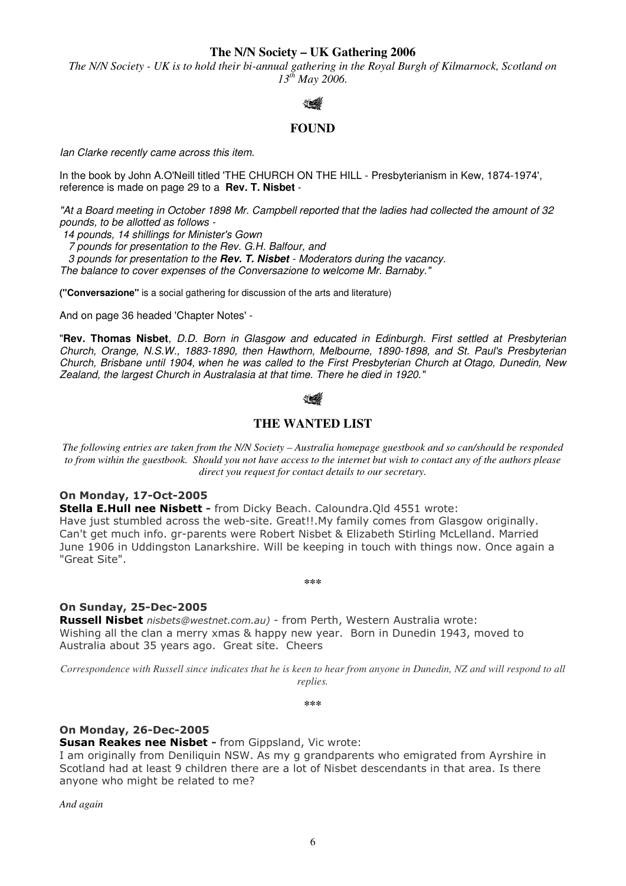**The N/N Society – UK Gathering 2006** 

*The N/N Society - UK is to hold their bi-annual gathering in the Royal Burgh of Kilmarnock, Scotland on 13th May 2006.* 



# **FOUND**

Ian Clarke recently came across this item.

In the book by John A.O'Neill titled 'THE CHURCH ON THE HILL - Presbyterianism in Kew, 1874-1974', reference is made on page 29 to a **Rev. T. Nisbet** -

"At a Board meeting in October 1898 Mr. Campbell reported that the ladies had collected the amount of 32 pounds, to be allotted as follows -

14 pounds, 14 shillings for Minister's Gown

7 pounds for presentation to the Rev. G.H. Balfour, and

 3 pounds for presentation to the **Rev. T. Nisbet** - Moderators during the vacancy. The balance to cover expenses of the Conversazione to welcome Mr. Barnaby."

**("Conversazione"** is a social gathering for discussion of the arts and literature)

And on page 36 headed 'Chapter Notes' -

"**Rev. Thomas Nisbet**, D.D. Born in Glasgow and educated in Edinburgh. First settled at Presbyterian Church, Orange, N.S.W., 1883-1890, then Hawthorn, Melbourne, 1890-1898, and St. Paul's Presbyterian Church, Brisbane until 1904, when he was called to the First Presbyterian Church at Otago, Dunedin, New Zealand, the largest Church in Australasia at that time. There he died in 1920."

# **THE WANTED LIST**

*The following entries are taken from the N/N Society – Australia homepage guestbook and so can/should be responded to from within the guestbook. Should you not have access to the internet but wish to contact any of the authors please direct you request for contact details to our secretary.* 

## On Monday, 17-Oct-2005

Stella E.Hull nee Nisbett - from Dicky Beach. Caloundra. Qld 4551 wrote: Have just stumbled across the web-site. Great!!.My family comes from Glasgow originally. Can't get much info. gr-parents were Robert Nisbet & Elizabeth Stirling McLelland. Married June 1906 in Uddingston Lanarkshire. Will be keeping in touch with things now. Once again a "Great Site".

**\*\*\***

# On Sunday, 25-Dec-2005

Russell Nisbet nisbets@westnet.com.au) - from Perth, Western Australia wrote: Wishing all the clan a merry xmas & happy new year. Born in Dunedin 1943, moved to Australia about 35 years ago. Great site. Cheers

*Correspondence with Russell since indicates that he is keen to hear from anyone in Dunedin, NZ and will respond to all replies.* 

**\*\*\***

# On Monday, 26-Dec-2005

Susan Reakes nee Nisbet - from Gippsland, Vic wrote:

I am originally from Deniliquin NSW. As my g grandparents who emigrated from Ayrshire in Scotland had at least 9 children there are a lot of Nisbet descendants in that area. Is there anyone who might be related to me?

*And again*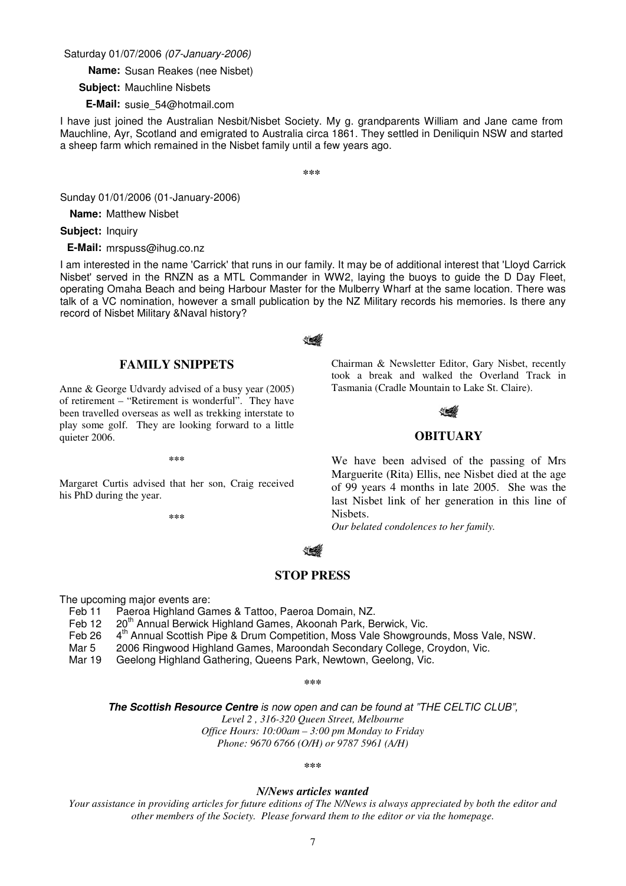### Saturday 01/07/2006 (07-January-2006)

**Name:** Susan Reakes (nee Nisbet)

**Subject:** Mauchline Nisbets

**E-Mail:** susie\_54@hotmail.com

I have just joined the Australian Nesbit/Nisbet Society. My g. grandparents William and Jane came from Mauchline, Ayr, Scotland and emigrated to Australia circa 1861. They settled in Deniliquin NSW and started a sheep farm which remained in the Nisbet family until a few years ago.

**\*\*\***

Sunday 01/01/2006 (01-January-2006)

**Name:** Matthew Nisbet

**Subject:** Inquiry

**E-Mail:** mrspuss@ihug.co.nz

I am interested in the name 'Carrick' that runs in our family. It may be of additional interest that 'Lloyd Carrick Nisbet' served in the RNZN as a MTL Commander in WW2, laying the buoys to guide the D Day Fleet, operating Omaha Beach and being Harbour Master for the Mulberry Wharf at the same location. There was talk of a VC nomination, however a small publication by the NZ Military records his memories. Is there any record of Nisbet Military &Naval history?

### **FAMILY SNIPPETS**

Anne & George Udvardy advised of a busy year (2005) of retirement – "Retirement is wonderful". They have been travelled overseas as well as trekking interstate to play some golf. They are looking forward to a little quieter 2006.

**\*\*\*** 

Margaret Curtis advised that her son, Craig received his PhD during the year.

**\*\*\***

Chairman & Newsletter Editor, Gary Nisbet, recently took a break and walked the Overland Track in Tasmania (Cradle Mountain to Lake St. Claire).

# **OBITUARY**

We have been advised of the passing of Mrs Marguerite (Rita) Ellis, nee Nisbet died at the age of 99 years 4 months in late 2005. She was the last Nisbet link of her generation in this line of Nisbets.

*Our belated condolences to her family.* 

### **STOP PRESS**

The upcoming major events are:

- Feb 11 Paeroa Highland Games & Tattoo, Paeroa Domain, NZ.
- Feb 12 20<sup>th</sup> Annual Berwick Highland Games, Akoonah Park, Berwick, Vic.
- Feb 26 4<sup>th</sup> Annual Scottish Pipe & Drum Competition, Moss Vale Showgrounds, Moss Vale, NSW.
- Mar 5 2006 Ringwood Highland Games, Maroondah Secondary College, Croydon, Vic.

Mar 19 Geelong Highland Gathering, Queens Park, Newtown, Geelong, Vic.

**\*\*\*** 

**The Scottish Resource Centre** is now open and can be found at "THE CELTIC CLUB",

*Level 2 , 316-320 Queen Street, Melbourne* 

*Office Hours: 10:00am – 3:00 pm Monday to Friday* 

*Phone: 9670 6766 (O/H) or 9787 5961 (A/H)* 

**\*\*\*** 

#### *N/News articles wanted*

*Your assistance in providing articles for future editions of The N/News is always appreciated by both the editor and other members of the Society. Please forward them to the editor or via the homepage.*